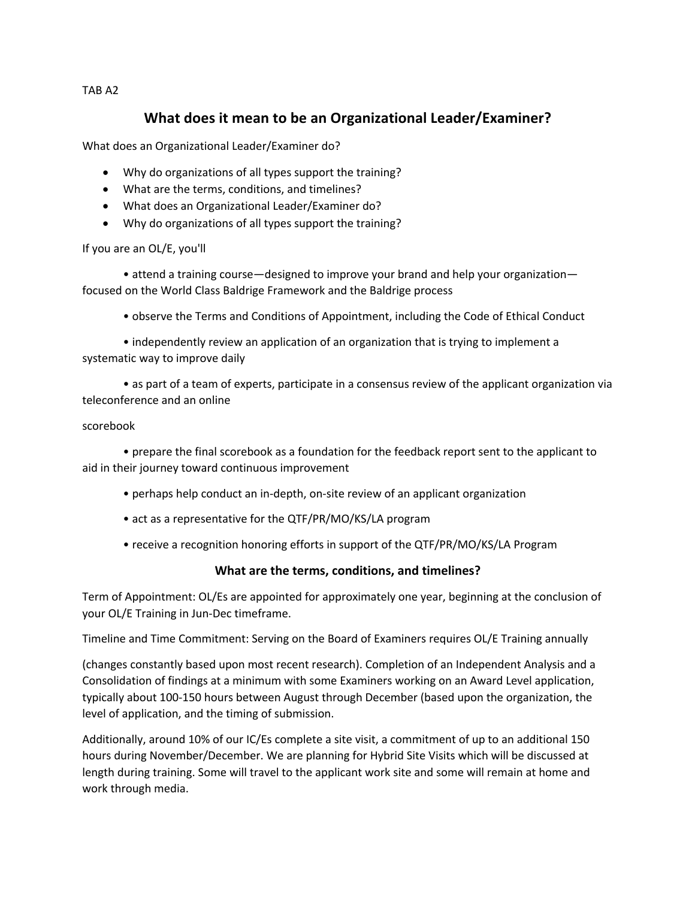### TAB A2

# **What does it mean to be an Organizational Leader/Examiner?**

What does an Organizational Leader/Examiner do?

- Why do organizations of all types support the training?
- What are the terms, conditions, and timelines?
- What does an Organizational Leader/Examiner do?
- Why do organizations of all types support the training?

If you are an OL/E, you'll

• attend a training course—designed to improve your brand and help your organization focused on the World Class Baldrige Framework and the Baldrige process

• observe the Terms and Conditions of Appointment, including the Code of Ethical Conduct

• independently review an application of an organization that is trying to implement a systematic way to improve daily

• as part of a team of experts, participate in a consensus review of the applicant organization via teleconference and an online

#### scorebook

• prepare the final scorebook as a foundation for the feedback report sent to the applicant to aid in their journey toward continuous improvement

- perhaps help conduct an in-depth, on-site review of an applicant organization
- act as a representative for the QTF/PR/MO/KS/LA program
- receive a recognition honoring efforts in support of the QTF/PR/MO/KS/LA Program

#### **What are the terms, conditions, and timelines?**

Term of Appointment: OL/Es are appointed for approximately one year, beginning at the conclusion of your OL/E Training in Jun-Dec timeframe.

Timeline and Time Commitment: Serving on the Board of Examiners requires OL/E Training annually

(changes constantly based upon most recent research). Completion of an Independent Analysis and a Consolidation of findings at a minimum with some Examiners working on an Award Level application, typically about 100-150 hours between August through December (based upon the organization, the level of application, and the timing of submission.

Additionally, around 10% of our IC/Es complete a site visit, a commitment of up to an additional 150 hours during November/December. We are planning for Hybrid Site Visits which will be discussed at length during training. Some will travel to the applicant work site and some will remain at home and work through media.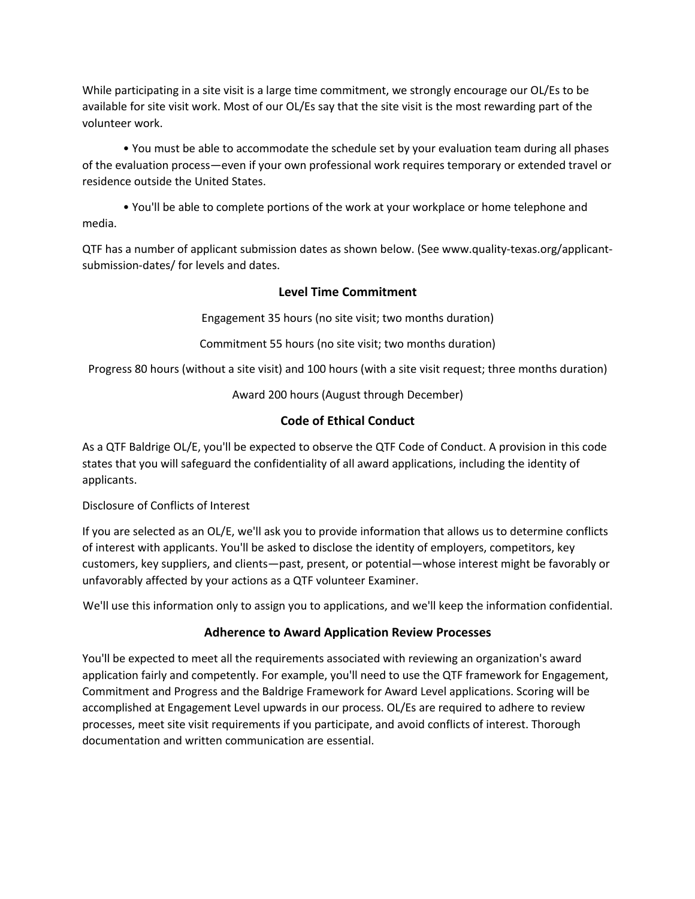While participating in a site visit is a large time commitment, we strongly encourage our OL/Es to be available for site visit work. Most of our OL/Es say that the site visit is the most rewarding part of the volunteer work.

• You must be able to accommodate the schedule set by your evaluation team during all phases of the evaluation process—even if your own professional work requires temporary or extended travel or residence outside the United States.

• You'll be able to complete portions of the work at your workplace or home telephone and media.

QTF has a number of applicant submission dates as shown below. (See www.quality-texas.org/applicantsubmission-dates/ for levels and dates.

### **Level Time Commitment**

Engagement 35 hours (no site visit; two months duration)

Commitment 55 hours (no site visit; two months duration)

Progress 80 hours (without a site visit) and 100 hours (with a site visit request; three months duration)

Award 200 hours (August through December)

### **Code of Ethical Conduct**

As a QTF Baldrige OL/E, you'll be expected to observe the QTF Code of Conduct. A provision in this code states that you will safeguard the confidentiality of all award applications, including the identity of applicants.

#### Disclosure of Conflicts of Interest

If you are selected as an OL/E, we'll ask you to provide information that allows us to determine conflicts of interest with applicants. You'll be asked to disclose the identity of employers, competitors, key customers, key suppliers, and clients—past, present, or potential—whose interest might be favorably or unfavorably affected by your actions as a QTF volunteer Examiner.

We'll use this information only to assign you to applications, and we'll keep the information confidential.

### **Adherence to Award Application Review Processes**

You'll be expected to meet all the requirements associated with reviewing an organization's award application fairly and competently. For example, you'll need to use the QTF framework for Engagement, Commitment and Progress and the Baldrige Framework for Award Level applications. Scoring will be accomplished at Engagement Level upwards in our process. OL/Es are required to adhere to review processes, meet site visit requirements if you participate, and avoid conflicts of interest. Thorough documentation and written communication are essential.